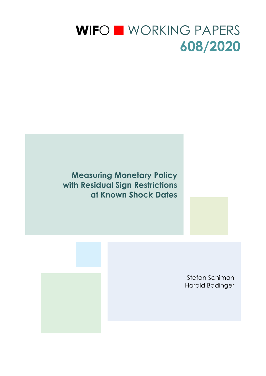# WIFO WORKING PAPERS **608/2020**

**Measuring Monetary Policy with Residual Sign Restrictions at Known Shock Dates** 

> Stefan Schiman Harald Badinger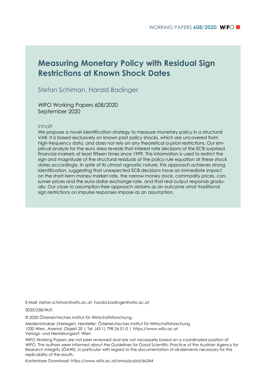# **Measuring Monetary Policy with Residual Sign Restrictions at Known Shock Dates**

### Stefan Schiman, Harald Badinger

WIFO Working Papers 608/2020 September 2020

### Inhalt

We propose a novel identification strategy to measure monetary policy in a structural VAR. It is based exclusively on known past policy shocks, which are uncovered from high-frequency data, and does not rely on any theoretical a-priori restrictions. Our empirical analysis for the euro area reveals that interest rate decisions of the ECB surprised financial markets at least fifteen times since 1999. This information is used to restrict the sign and magnitude of the structural residuals of the policy rule equation at these shock dates accordingly. In spite of its utmost agnostic nature, this approach achieves strong identification, suggesting that unexpected ECB decisions have an immediate impact on the short-term money market rate, the narrow money stock, commodity prices, consumer prices and the euro-dollar exchange rate, and that real output responds gradually. Our close to assumption-free approach obtains as an outcome what traditional sign restrictions on impulse responses impose as an assumption.

E-Mail: stefan.schiman@wifo.ac.at, harald.badinger@wifo.ac.at

2020/238/W/0

© 2020 Österreichisches Institut für Wirtschaftsforschung.

Medieninhaber (Verleger), Hersteller: Österreichisches Institut für Wirtschaftsforschung 1030 Wien, Arsenal, Objekt 20 | Tel. (43 1) 798 26 01-0 | https://www.wifo.ac.at Verlags- und Herstellungsort: Wien

WIFO Working Papers are not peer reviewed and are not necessarily based on a coordinated position of WIFO. The authors were informed about the Guidelines for Good Scientific Practice of the Austrian Agency for Research Integrity (ÖAWI), in particular with regard to the documentation of all elements necessary for the replicability of the results.

Kostenloser Download: https://www.wifo.ac.at/wwa/pubid/66344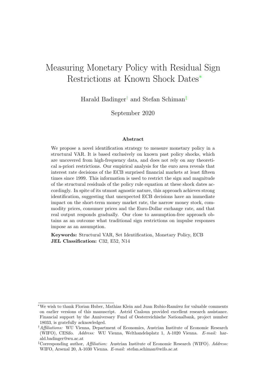# Measuring Monetary Policy with Residual Sign Restrictions at Known Shock Dates<sup>∗</sup>

Harald Badinger† and Stefan Schiman‡

September 2020

#### Abstract

We propose a novel identification strategy to measure monetary policy in a structural VAR. It is based exclusively on known past policy shocks, which are uncovered from high-frequency data, and does not rely on any theoretical a-priori restrictions. Our empirical analysis for the euro area reveals that interest rate decisions of the ECB surprised financial markets at least fifteen times since 1999. This information is used to restrict the sign and magnitude of the structural residuals of the policy rule equation at these shock dates accordingly. In spite of its utmost agnostic nature, this approach achieves strong identification, suggesting that unexpected ECB decisions have an immediate impact on the short-term money market rate, the narrow money stock, commodity prices, consumer prices and the Euro-Dollar exchange rate, and that real output responds gradually. Our close to assumption-free approach obtains as an outcome what traditional sign restrictions on impulse responses impose as an assumption.

Keywords: Structural VAR, Set Identification, Monetary Policy, ECB JEL Classification: C32, E52, N14

<sup>∗</sup>We wish to thank Florian Huber, Mathias Klein and Juan Rubio-Ram´ırez for valuable comments on earlier versions of this manuscript. Astrid Czaloun provided excellent research assistance. Financial support by the Anniversary Fund of Oesterreichische Nationalbank, project number 18033, is gratefully acknowledged.

<sup>†</sup>Affiliations: WU Vienna, Department of Economics, Austrian Institute of Economic Research (WIFO), CESifo. Address: WU Vienna, Welthandelsplatz 1, A-1020 Vienna. E-mail: harald.badinger@wu.ac.at

<sup>&</sup>lt;sup>‡</sup>Corresponding author, *Affiliation:* Austrian Institute of Economic Research (WIFO). *Address:* WIFO, Arsenal 20, A-1030 Vienna. E-mail: stefan.schiman@wifo.ac.at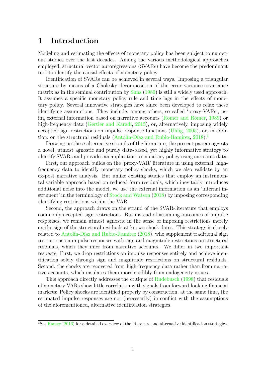## 1 Introduction

Modeling and estimating the effects of monetary policy has been subject to numerous studies over the last decades. Among the various methodological approaches employed, structural vector autoregressions (SVARs) have become the predominant tool to identify the causal effects of monetary policy.

Identification of SVARs can be achieved in several ways. Imposing a triangular structure by means of a Cholesky decomposition of the error variance-covariance matrix as in the seminal contribution by [Sims](#page-34-0) [\(1980\)](#page-34-0) is still a widely used approach. It assumes a specific monetary policy rule and time lags in the effects of monetary policy. Several innovative strategies have since been developed to relax these identifying assumptions. They include, among others, so called 'proxy-VARs', using external information based on narrative accounts [\(Romer and Romer,](#page-34-1) [1989\)](#page-34-1) or high-frequency data [\(Gertler and Karadi,](#page-33-0) [2015\)](#page-33-0), or, alternatively, imposing widely accepted sign restrictions on impulse response functions [\(Uhlig,](#page-35-0) [2005\)](#page-35-0), or, in addi-tion, on the structural residuals (Antolín-Díaz and Rubio-Ramírez, [2018\)](#page-31-0).<sup>[1](#page-3-0)</sup>

Drawing on these alternative strands of the literature, the present paper suggests a novel, utmost agnostic and purely data-based, yet highly informative strategy to identify SVARs and provides an application to monetary policy using euro area data.

First, our approach builds on the 'proxy-VAR' literature in using external, highfrequency data to identify monetary policy shocks, which we also validate by an ex-post narrative analysis. But unlike existing studies that employ an instrumental variable approach based on reduced form residuals, which inevitably introduces additional noise into the model, we use the external information as an 'internal instrument' in the terminology of [Stock and Watson](#page-34-2) [\(2018\)](#page-34-2) by imposing corresponding identifying restrictions within the VAR.

Second, the approach draws on the strand of the SVAR-literature that employs commonly accepted sign restrictions. But instead of assuming outcomes of impulse responses, we remain utmost agnostic in the sense of imposing restrictions merely on the sign of the structural residuals at known shock dates. This strategy is closely related to Antolín-Díaz and Rubio-Ramírez  $(2018)$ , who supplement traditional sign restrictions on impulse responses with sign and magnitude restrictions on structural residuals, which they infer from narrative accounts. We differ in two important respects: First, we drop restrictions on impulse responses entirely and achieve identification solely through sign and magnitude restrictions on structural residuals. Second, the shocks are recovered from high-frequency data rather than from narrative accounts, which insulates them more credibly from endogeneity issues.

This approach directly addresses the critique of [Rudebusch](#page-34-3) [\(1998\)](#page-34-3) that residuals of monetary VARs show little correlation with signals from forward-looking financial markets: Policy shocks are identified properly by construction; at the same time, the estimated impulse responses are not (necessarily) in conflict with the assumptions of the aforementioned, alternative identification strategies.

<span id="page-3-0"></span><sup>&</sup>lt;sup>1</sup>See [Ramey](#page-33-1) [\(2016\)](#page-33-1) for a detailed overview of the literature and alternative identification strategies.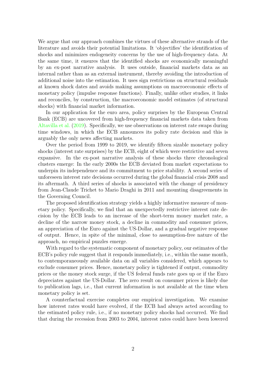We argue that our approach combines the virtues of these alternative strands of the literature and avoids their potential limitations. It 'objectifies' the identification of shocks and minimizes endogeneity concerns by the use of high-frequency data. At the same time, it ensures that the identified shocks are economically meaningful by an ex-post narrative analysis. It uses outside, financial markets data as an internal rather than as an external instrument, thereby avoiding the introduction of additional noise into the estimation. It uses sign restrictions on structural residuals at known shock dates and avoids making assumptions on macroeconomic effects of monetary policy (impulse response functions). Finally, unlike other studies, it links and reconciles, by construction, the macroeconomic model estimates (of structural shocks) with financial market information.

In our application for the euro area, policy surprises by the European Central Bank (ECB) are uncovered from high-frequency financial markets data taken from [Altavilla et al.](#page-31-1) [\(2019\)](#page-31-1). Specifically, we use observations on interest rate swaps during time windows, in which the ECB announces its policy rate decision and this is arguably the only news affecting markets.

Over the period from 1999 to 2019, we identify fifteen sizable monetary policy shocks (interest rate surprises) by the ECB, eight of which were restrictive and seven expansive. In the ex-post narrative analysis of these shocks three chronological clusters emerge: In the early 2000s the ECB deviated from market expectations to underpin its independence and its commitment to price stability. A second series of unforeseen interest rate decisions occurred during the global financial crisis 2008 and its aftermath. A third series of shocks is associated with the change of presidency from Jean-Claude Trichet to Mario Draghi in 2011 and mounting disagreements in the Governing Council.

The proposed identification strategy yields a highly informative measure of monetary policy. Specifically, we find that an unexpectedly restrictive interest rate decision by the ECB leads to an increase of the short-term money market rate, a decline of the narrow money stock, a decline in commodity and consumer prices, an appreciation of the Euro against the US-Dollar, and a gradual negative response of output. Hence, in spite of the minimal, close to assumption-free nature of the approach, no empirical puzzles emerge.

With regard to the systematic component of monetary policy, our estimates of the ECB's policy rule suggest that it responds immediately, i.e., within the same month, to contemporaneously available data on all variables considered, which appears to exclude consumer prices. Hence, monetary policy is tightened if output, commodity prices or the money stock surge, if the US federal funds rate goes up or if the Euro depreciates against the US-Dollar. The zero result on consumer prices is likely due to publication lags, i.e., that current information is not available at the time when monetary policy is set.

A counterfactual exercise completes our empirical investigation. We examine how interest rates would have evolved, if the ECB had always acted according to the estimated policy rule, i.e., if no monetary policy shocks had occurred. We find that during the recession from 2003 to 2004, interest rates could have been lowered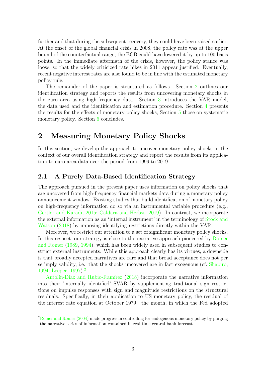further and that during the subsequent recovery, they could have been raised earlier. At the onset of the global financial crisis in 2008, the policy rate was at the upper bound of the counterfactual range; the ECB could have lowered it by up to 100 basis points. In the immediate aftermath of the crisis, however, the policy stance was loose, so that the widely criticized rate hikes in 2011 appear justified. Eventually, recent negative interest rates are also found to be in line with the estimated monetary policy rule.

The remainder of the paper is structured as follows. Section [2](#page-5-0) outlines our identification strategy and reports the results from uncovering monetary shocks in the euro area using high-frequency data. Section [3](#page-9-0) introduces the VAR model, the data used and the identification and estimation procedure. Section [4](#page-12-0) presents the results for the effects of monetary policy shocks, Section [5](#page-16-0) those on systematic monetary policy. Section [6](#page-20-0) concludes.

# <span id="page-5-0"></span>2 Measuring Monetary Policy Shocks

In this section, we develop the approach to uncover monetary policy shocks in the context of our overall identification strategy and report the results from its application to euro area data over the period from 1999 to 2019.

### 2.1 A Purely Data-Based Identification Strategy

The approach pursued in the present paper uses information on policy shocks that are uncovered from high-frequency financial markets data during a monetary policy announcement window. Existing studies that build identification of monetary policy on high-frequency information do so via an instrumental variable procedure (e.g., [Gertler and Karadi,](#page-33-0) [2015;](#page-33-0) [Caldara and Herbst,](#page-31-2) [2019\)](#page-31-2). In contrast, we incorporate the external information as an 'internal instrument' in the terminology of [Stock and](#page-34-2) [Watson](#page-34-2) [\(2018\)](#page-34-2) by imposing identifying restrictions directly within the VAR.

Moreover, we restrict our attention to a set of significant monetary policy shocks. In this respect, our strategy is close to the narrative approach pioneered by [Romer](#page-34-1) [and Romer](#page-34-1) [\(1989,](#page-34-1) [1994\)](#page-34-4), which has been widely used in subsequent studies to construct external instruments. While this approach clearly has its virtues, a downside is that broadly accepted narratives are rare and that broad acceptance does not per se imply validity, i.e., that the shocks uncovered are in fact exogenous (cf. [Shapiro,](#page-34-5) [1994;](#page-34-5) [Leeper,](#page-33-2) [1997\)](#page-33-2).<sup>[2](#page-5-1)</sup>

Antolín-Díaz and Rubio-Ramírez [\(2018\)](#page-31-0) incorporate the narrative information into their 'internally identified' SVAR by supplementing traditional sign restrictions on impulse responses with sign and magnitude restrictions on the structural residuals. Specifically, in their application to US monetary policy, the residual of the interest rate equation at October 1979—the month, in which the Fed adopted

<span id="page-5-1"></span> ${}^{2}$ [Romer and Romer](#page-34-6) [\(2004\)](#page-34-6) made progress in controlling for endogenous monetary policy by purging the narrative series of information contained in real-time central bank forecasts.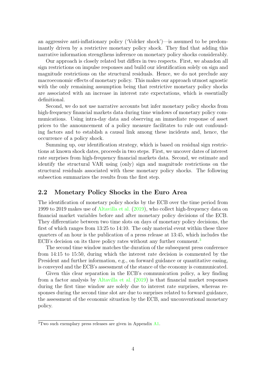an aggressive anti-inflationary policy ('Volcker shock')—is assumed to be predominantly driven by a restrictive monetary policy shock. They find that adding this narrative information strengthens inference on monetary policy shocks considerably.

Our approach is closely related but differs in two respects. First, we abandon all sign restrictions on impulse responses and build our identification solely on sign and magnitude restrictions on the structural residuals. Hence, we do not preclude any macroeconomic effects of monetary policy. This makes our approach utmost agnostic with the only remaining assumption being that restrictive monetary policy shocks are associated with an increase in interest rate expectations, which is essentially definitional.

Second, we do not use narrative accounts but infer monetary policy shocks from high-frequency financial markets data during time windows of monetary policy communications. Using intra-day data and observing an immediate response of asset prices to the announcement of a policy measure facilitates to rule out confounding factors and to establish a causal link among these incidents and, hence, the occurrence of a policy shock.

Summing up, our identification strategy, which is based on residual sign restrictions at known shock dates, proceeds in two steps. First, we uncover dates of interest rate surprises from high-frequency financial markets data. Second, we estimate and identify the structural VAR using (only) sign and magnitude restrictions on the structural residuals associated with these monetary policy shocks. The following subsection summarizes the results from the first step.

### <span id="page-6-1"></span>2.2 Monetary Policy Shocks in the Euro Area

The identification of monetary policy shocks by the ECB over the time period from 1999 to 2019 makes use of [Altavilla et al.](#page-31-1) [\(2019\)](#page-31-1), who collect high-frequency data on financial market variables before and after monetary policy decisions of the ECB. They differentiate between two time slots on days of monetary policy decisions, the first of which ranges from 13:25 to 14:10. The only material event within these three quarters of an hour is the publication of a press release at 13:45, which includes the ECB's decision on its three policy rates without any further comment.<sup>[3](#page-6-0)</sup>

The second time window matches the duration of the subsequent press conference from 14:15 to 15:50, during which the interest rate decision is commented by the President and further information, e.g., on forward guidance or quantitative easing, is conveyed and the ECB's assessment of the stance of the economy is communicated.

Given this clear separation in the ECB's communication policy, a key finding from a factor analysis by [Altavilla et al.](#page-31-1) [\(2019\)](#page-31-1) is that financial market responses during the first time window are solely due to interest rate surprises, whereas responses during the second time slot are due to surprises related to forward guidance, the assessment of the economic situation by the ECB, and unconventional monetary policy.

<span id="page-6-0"></span><sup>3</sup>Two such exemplary press releases are given in Appendix [A1.](#page-21-0)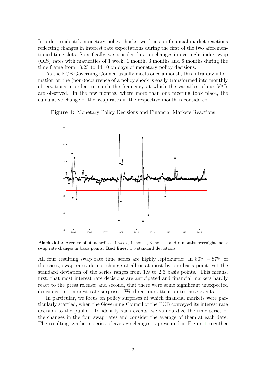In order to identify monetary policy shocks, we focus on financial market reactions reflecting changes in interest rate expectations during the first of the two aforementioned time slots. Specifically, we consider data on changes in overnight index swap (OIS) rates with maturities of 1 week, 1 month, 3 months and 6 months during the time frame from 13:25 to 14:10 on days of monetary policy decisions.

As the ECB Governing Council usually meets once a month, this intra-day information on the (non-)occurrence of a policy shock is easily transformed into monthly observations in order to match the frequency at which the variables of our VAR are observed. In the few months, where more than one meeting took place, the cumulative change of the swap rates in the respective month is considered.

<span id="page-7-0"></span>Figure 1: Monetary Policy Decisions and Financial Markets Reactions



Black dots: Average of standardized 1-week, 1-month, 3-months and 6-months overnight index swap rate changes in basis points. Red lines: 1.5 standard deviations.

All four resulting swap rate time series are highly leptokurtic: In 80% − 87% of the cases, swap rates do not change at all or at most by one basis point, yet the standard deviation of the series ranges from 1.9 to 2.6 basis points. This means, first, that most interest rate decisions are anticipated and financial markets hardly react to the press release; and second, that there were some significant unexpected decisions, i.e., interest rate surprises. We direct our attention to these events.

In particular, we focus on policy surprises at which financial markets were particularly startled, when the Governing Council of the ECB conveyed its interest rate decision to the public. To identify such events, we standardize the time series of the changes in the four swap rates and consider the average of them at each date. The resulting synthetic series of average changes is presented in Figure [1](#page-7-0) together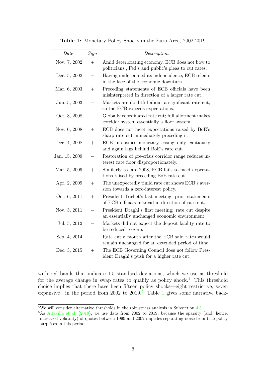<span id="page-8-2"></span>

| Date          | Sign   | Description                                                                                              |
|---------------|--------|----------------------------------------------------------------------------------------------------------|
| Nov. 7, 2002  | $+$    | Amid deteriorating economy, ECB does not bow to<br>politicians', Fed's and public's pleas to cut rates.  |
| Dec. 5, 2002  |        | Having underpinned its independence, ECB relents<br>in the face of the economic downturn.                |
| Mar. 6, 2003  | $+$    | Preceding statements of ECB officials have been<br>misinterpreted in direction of a larger rate cut.     |
| Jun. 5, 2003  |        | Markets are doubtful about a significant rate cut,<br>so the ECB exceeds expectations.                   |
| Oct. 8, 2008  |        | Globally coordinated rate cut; full allotment makes<br>corridor system essentially a floor system.       |
| Nov. 6, 2008  | $+$    | ECB does not meet expectations raised by BoE's<br>sharp rate cut immediately preceding it.               |
| Dec. 4, 2008  | $+$    | ECB intensifies monetary easing only cautiously<br>and again lags behind BoE's rate cut.                 |
| Jan. 15, 2009 |        | Restoration of pre-crisis corridor range reduces in-<br>terest rate floor disproportionately.            |
| Mar. 5, 2009  | $^{+}$ | Similarly to late 2008, ECB fails to meet expecta-<br>tions raised by preceding BoE rate cut.            |
| Apr. 2, 2009  | $+$    | The unexpectedly timid rate cut shows ECB's aver-<br>sion towards a zero-interest policy.                |
| Oct. 6, 2011  | $+$    | President Trichet's last meeting; prior statements<br>of ECB officials misread in direction of rate cut. |
| Nov. 3, 2011  |        | President Draghi's first meeting; rate cut despite<br>an essentially unchanged economic environment.     |
| Jul. 5, 2012  |        | Markets did not expect the deposit facility rate to<br>be reduced to zero.                               |
| Sep. 4, 2014  |        | Rate cut a month after the ECB said rates would<br>remain unchanged for an extended period of time.      |
| Dec. 3, 2015  | $+$    | The ECB Governing Council does not follow Pres-<br>ident Draghi's push for a higher rate cut.            |

Table 1: Monetary Policy Shocks in the Euro Area, 2002-2019

with red bands that indicate 1.5 standard deviations, which we use as threshold for the average change in swap rates to qualify as policy shock.[4](#page-8-0) This threshold choice implies that there have been fifteen policy shocks—eight restrictive, seven expansive—in the period from 2002 to  $2019<sup>5</sup>$  $2019<sup>5</sup>$  $2019<sup>5</sup>$  Table [1](#page-8-2) gives some narrative back-

<span id="page-8-0"></span><sup>&</sup>lt;sup>4</sup>We will consider alternative thresholds in the robustness analysis in Subsection [4.3.](#page-14-0)

<span id="page-8-1"></span><sup>&</sup>lt;sup>5</sup>As [Altavilla et al.](#page-31-1) [\(2019\)](#page-31-1), we use data from 2002 to 2019, because the sparsity (and, hence, increased volatility) of quotes between 1999 and 2002 impedes separating noise from true policy surprises in this period.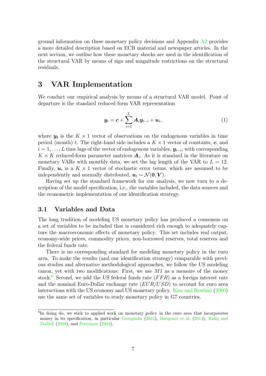ground information on these monetary policy decisions and Appendix [A2](#page-22-0) provides a more detailed description based on ECB material and newspaper articles. In the next section, we outline how these monetary shocks are used in the identification of the structural VAR by means of sign and magnitude restrictions on the structural residuals.

# <span id="page-9-0"></span>3 VAR Implementation

We conduct our empirical analysis by means of a structural VAR model. Point of departure is the standard reduced form VAR representation

<span id="page-9-2"></span>
$$
\boldsymbol{y}_t = \boldsymbol{c} + \sum_{i=1}^L \boldsymbol{A}_i \boldsymbol{y}_{t-i} + \boldsymbol{u}_t, \tag{1}
$$

where  $y_t$  is the  $K \times 1$  vector of observations on the endogenous variables in time period (month) t. The right-hand side includes a  $K \times 1$  vector of constants, c, and  $i = 1, \ldots, L$  time lags of the vector of endogenous variables,  $y_{t-i}$ , with corresponding  $K \times K$  reduced-form parameter matrices  $A_i$ . As it is standard in the literature on monetary VARs with monthly data, we set the lag length of the VAR to  $L = 12$ . Finally,  $u_t$  is a  $K \times 1$  vector of stochastic error terms, which are assumed to be independently and normally distributed,  $u_t \sim \mathcal{N}(\mathbf{0}, \mathbf{V})$ .

Having set up the standard framework for our analysis, we now turn to a description of the model specification, i.e., the variables included, the data sources and the econometric implementation of our identification strategy.

### 3.1 Variables and Data

The long tradition of modeling US monetary policy has produced a consensus on a set of variables to be included that is considered rich enough to adequately capture the macroeconomic effects of monetary policy. This set includes real output, economy-wide prices, commodity prices, non-borrowed reserves, total reserves and the federal funds rate.

There is no corresponding standard for modeling monetary policy in the euro area. To make the results (and our identification strategy) comparable with previous studies and alternative methodological approaches, we follow the US modeling canon, yet with two modifications: First, we use  $M1$  as a measure of the money stock.<sup>[6](#page-9-1)</sup> Second, we add the US federal funds rate  $(FFR)$  as a foreign interest rate and the nominal Euro-Dollar exchange rate  $(EUR/USD)$  to account for euro area interactions with the US economy and US monetary policy. [Kim and Roubini](#page-33-3) [\(2000\)](#page-33-3) use the same set of variables to study monetary policy in G7 countries.

<span id="page-9-1"></span><sup>&</sup>lt;sup>6</sup>In doing do, we stick to applied work on monetary policy in the euro area that incorporates money in its specification, in particular [Georgiadis](#page-33-4) [\(2015\)](#page-33-4), [Barigozzi et al.](#page-31-3) [\(2014\)](#page-31-3), [Rafiq and](#page-33-5) [Mallick](#page-33-5) [\(2008\)](#page-33-5), and [Peersman](#page-33-6) [\(2004\)](#page-33-6).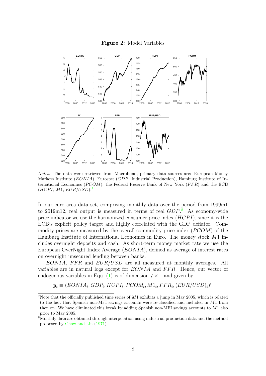

<span id="page-10-2"></span>

Notes: The data were retrieved from Macrobond, primary data sources are: European Money Markets Institute (*EONIA*), Eurostat (*GDP*, Industrial Production), Hamburg Institute of International Economics ( $PCOM$ ), the Federal Reserve Bank of New York ( $FFR$ ) and the ECB  $(HCPI, M1, EUR/USD).$ <sup>[7](#page-10-0)</sup>

In our euro area data set, comprising monthly data over the period from 1999m1 to 2019m12, real output is measured in terms of real  $GDP<sup>8</sup>$  $GDP<sup>8</sup>$  $GDP<sup>8</sup>$  As economy-wide price indicator we use the harmonized consumer price index  $(HCPI)$ , since it is the ECB's explicit policy target and highly correlated with the GDP deflator. Commodity prices are measured by the overall commodity price index  $(PCOM)$  of the Hamburg Institute of International Economics in Euro. The money stock M1 includes overnight deposits and cash. As short-term money market rate we use the European OverNight Index Average (EONIA), defined as average of interest rates on overnight unsecured lending between banks.

 $EONIA$ ,  $FFR$  and  $EUR/USD$  are all measured at monthly averages. All variables are in natural logs except for  $EONIA$  and  $FFR$ . Hence, our vector of endogenous variables in Equ. [\(1\)](#page-9-2) is of dimension  $7 \times 1$  and given by

 $y_t \equiv (EONIA_t, GDP_t, HCPI_t, PCOM_t, M1_t, FFR_t, (EUR/USD_t)^T$ .

<span id="page-10-0"></span><sup>&</sup>lt;sup>7</sup>Note that the officially published time series of  $M1$  exhibits a jump in May 2005, which is related to the fact that Spanish non-MFI savings accounts were re-classified and included in M1 from then on. We have eliminated this break by adding Spanish non-MFI savings accounts to M1 also prior to May 2005.

<span id="page-10-1"></span>Monthly data are obtained through interpolation using industrial production data and the method proposed by [Chow and Lin](#page-31-4) [\(1971\)](#page-31-4).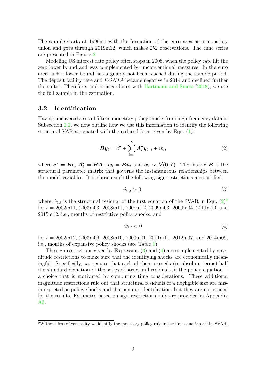The sample starts at 1999m1 with the formation of the euro area as a monetary union and goes through 2019m12, which makes 252 observations. The time series are presented in Figure [2.](#page-10-2)

Modeling US interest rate policy often stops in 2008, when the policy rate hit the zero lower bound and was complemented by unconventional measures. In the euro area such a lower bound has arguably not been reached during the sample period. The deposit facility rate and EONIA became negative in 2014 and declined further thereafter. Therefore, and in accordance with [Hartmann and Smets](#page-33-7) [\(2018\)](#page-33-7), we use the full sample in the estimation.

### 3.2 Identification

Having uncovered a set of fifteen monetary policy shocks from high-frequency data in Subsection [2.2,](#page-6-1) we now outline how we use this information to identify the following structural VAR associated with the reduced form given by Equ. [\(1\)](#page-9-2):

<span id="page-11-0"></span>
$$
\boldsymbol{B}\boldsymbol{y}_t = \boldsymbol{c}^* + \sum_{i=1}^L \boldsymbol{A}_i^* \boldsymbol{y}_{t-i} + \boldsymbol{w}_t, \tag{2}
$$

where  $c^* = Bc, A_i^* = BA_i, w_t = Bu_t$  and  $w_t \sim \mathcal{N}(0, I)$ . The matrix  $B$  is the structural parameter matrix that governs the instantaneous relationships between the model variables. It is chosen such the following sign restrictions are satisfied:

<span id="page-11-2"></span>
$$
\hat{w}_{1,t} > 0,\tag{3}
$$

where  $\hat{w}_{1,t}$  is the structural residual of the first equation of the SVAR in Equ.  $(2)^9$  $(2)^9$  $(2)^9$ for  $t = 2002 \text{m}11$ ,  $2003 \text{m}03$ ,  $2008 \text{m}11$ ,  $2008 \text{m}12$ ,  $2009 \text{m}03$ ,  $2009 \text{m}04$ ,  $2011 \text{m}10$ , and 2015m12, i.e., months of restrictive policy shocks, and

<span id="page-11-3"></span>
$$
\hat{w}_{1,t} < 0 \tag{4}
$$

for  $t = 2002 \text{m}^{12}$ ,  $2003 \text{m}^{06}$ ,  $2008 \text{m}^{10}$ ,  $2009 \text{m}^{01}$ ,  $2011 \text{m}^{11}$ ,  $2012 \text{m}^{07}$ , and  $2014 \text{m}^{09}$ , i.e., months of expansive policy shocks (see Table [1\)](#page-8-2).

The sign restrictions given by Expression [\(3\)](#page-11-2) and [\(4\)](#page-11-3) are complemented by magnitude restrictions to make sure that the identifying shocks are economically meaningful. Specifically, we require that each of them exceeds (in absolute terms) half the standard deviation of the series of structural residuals of the policy equation a choice that is motivated by computing time considerations. These additional magnitude restrictions rule out that structural residuals of a negligible size are misinterpreted as policy shocks and sharpen our identification, but they are not crucial for the results. Estimates based on sign restrictions only are provided in Appendix [A3.](#page-29-0)

<span id="page-11-1"></span><sup>&</sup>lt;sup>9</sup>Without loss of generality we identify the monetary policy rule in the first equation of the SVAR.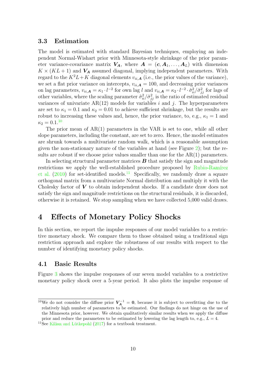### 3.3 Estimation

The model is estimated with standard Bayesian techniques, employing an independent Normal-Wishart prior with Minnesota-style shrinkage of the prior parameter variance-covariance matrix  $V_A$ , where  $A = (c, A_1, \ldots, A_L)$  with dimension  $K \times (KL + 1)$  and  $V_A$  assumed diagonal, implying independent parameters. With regard to the  $K^2L+K$  diagonal elements  $v_{ii,A}$  (i.e., the prior values of the variance), we set a flat prior variance on intercepts,  $v_{ii,\mathbf{A}} = 100$ , and decreasing prior variances on lag parameters,  $v_{ii,\mathbf{A}} = \kappa_1 \cdot l^{-2}$  for own lag l and  $v_{ii,\mathbf{A}} = \kappa_2 \cdot l^{-2} \cdot \hat{\sigma}_{ii}^2 / \hat{\sigma}_{jj}^2$  for lags of other variables, where the scaling parameter  $\hat{\sigma}_{ii}^2/\hat{\sigma}_{jj}^2$  is the ratio of estimated residual variances of univariate  $AR(12)$  models for variables i and j. The hyperparameters are set to  $\kappa_1 = 0.1$  and  $\kappa_2 = 0.01$  to achieve sufficient shrinkage, but the results are robust to increasing these values and, hence, the prior variance, to, e.g.,  $\kappa_1 = 1$  and  $\kappa_2 = 0.1$ .<sup>[10](#page-12-1)</sup>

The prior mean of AR(1) parameters in the VAR is set to one, while all other slope parameters, including the constant, are set to zero. Hence, the model estimates are shrunk towards a multivariate random walk, which is a reasonable assumption given the non-stationary nature of the variables at hand (see Figure [2\)](#page-10-2); but the results are robust if we choose prior values smaller than one for the  $AR(1)$  parameters.

In selecting structural parameter matrices  $\boldsymbol{B}$  that satisfy the sign and magnitude restrictions we apply the well-established procedure proposed by Rubio-Ramírez [et al.](#page-34-7)  $(2010)$  for set-identified models.<sup>[11](#page-12-2)</sup> Specifically, we randomly draw a square orthogonal matrix from a multivariate Normal distribution and multiply it with the Cholesky factor of  $V$  to obtain independent shocks. If a candidate draw does not satisfy the sign and magnitude restrictions on the structural residuals, it is discarded, otherwise it is retained. We stop sampling when we have collected 5,000 valid draws.

### <span id="page-12-0"></span>4 Effects of Monetary Policy Shocks

In this section, we report the impulse responses of our model variables to a restrictive monetary shock. We compare them to those obtained using a traditional sign restriction approach and explore the robustness of our results with respect to the number of identifying monetary policy shocks.

### 4.1 Basic Results

Figure [3](#page-13-0) shows the impulse responses of our seven model variables to a restrictive monetary policy shock over a 5-year period. It also plots the impulse response of

<span id="page-12-1"></span><sup>&</sup>lt;sup>10</sup>We do not consider the diffuse prior  $V_A^{-1} = 0$ , because it is subject to overfitting due to the relatively high number of parameters to be estimated. Our findings do not hinge on the use of the Minnesota prior, however. We obtain qualitatively similar results when we apply the diffuse prior and reduce the parameters to be estimated by lowering the lag length to, e.g.,  $L = 4$ .

<span id="page-12-2"></span><sup>&</sup>lt;sup>11</sup>See Kilian and Lütkepohl  $(2017)$  for a textbook treatment.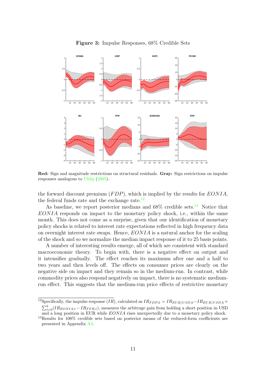<span id="page-13-0"></span>

Figure 3: Impulse Responses, 68% Credible Sets

Red: Sign and magnitude restrictions on structural residuals. Gray: Sign restrictions on impulse responses analogous to [Uhlig](#page-35-0) [\(2005\)](#page-35-0).

the forward discount premium  $(FDP)$ , which is implied by the results for  $EONIA$ , the federal funds rate and the exchange rate. $^{12}$  $^{12}$  $^{12}$ 

As baseline, we report posterior medians and  $68\%$  credible sets.<sup>[13](#page-13-2)</sup> Notice that  $EONIA$  responds on impact to the monetary policy shock, i.e., within the same month. This does not come as a surprise, given that our identification of monetary policy shocks is related to interest rate expectations reflected in high frequency data on overnight interest rate swaps. Hence,  $EONIA$  is a natural anchor for the scaling of the shock and so we normalize the median impact response of it to 25 basis points.

A number of interesting results emerge, all of which are consistent with standard macroeconomic theory. To begin with, there is a negative effect on output and it intensifies gradually. The effect reaches its maximum after one and a half to two years and then levels off. The effects on consumer prices are clearly on the negative side on impact and they remain so in the medium-run. In contrast, while commodity prices also respond negatively on impact, there is no systematic mediumrun effect. This suggests that the medium-run price effects of restrictive monetary

<span id="page-13-1"></span><sup>&</sup>lt;sup>12</sup>Specifically, the impulse response (IR), calculated as  $IR_{FDP,k} = IR_{EUR/USD,0} - IR_{EUR/USD,k} +$  $\sum_{t=0}^{k} (IR_{EONIA,t} - IR_{FFR,t}),$  measures the arbitrage gain from holding a short position in USD and a long position in EUR while EONIA rises unexpectedly due to a monetary policy shock.

<span id="page-13-2"></span> $13$ Results for 100% credible sets based on posterior means of the reduced-form coefficients are presented in Appendix [A4.](#page-30-0)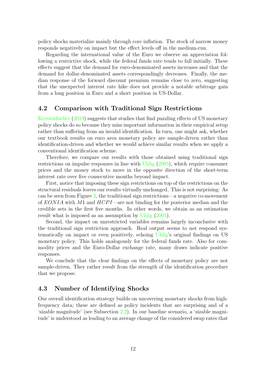policy shocks materialize mainly through core inflation. The stock of narrow money responds negatively on impact but the effect levels off in the medium-run.

Regarding the international value of the Euro we observe an appreciation following a restrictive shock, while the federal funds rate tends to fall initially. These effects suggest that the demand for euro-denominated assets increases and that the demand for dollar-denominated assets correspondingly decreases. Finally, the median response of the forward discount premium remains close to zero, suggesting that the unexpected interest rate hike does not provide a notable arbitrage gain from a long position in Euro and a short position in US-Dollar.

### 4.2 Comparison with Traditional Sign Restrictions

[Kerssenfischer](#page-33-9) [\(2019\)](#page-33-9) suggests that studies that find puzzling effects of US monetary policy shocks do so because they miss important information in their empirical setup rather than suffering from an invalid identification. In turn, one might ask, whether our textbook results on euro area monetary policy are sample-driven rather than identification-driven and whether we would achieve similar results when we apply a conventional identification scheme.

Therefore, we compare our results with those obtained using traditional sign restrictions on impulse responses in line with [Uhlig](#page-35-0) [\(2005\)](#page-35-0), which require consumer prices and the money stock to move in the opposite direction of the short-term interest rate over five consecutive months beyond impact.

First, notice that imposing these sign restrictions on top of the restrictions on the structural residuals leaves our results virtually unchanged. This is not surprising: As can be seen from Figure [3,](#page-13-0) the traditional sign restrictions—a negative co-movement of  $EONIA$  with M1 and  $HCPI$ —are not binding for the posterior median and the credible sets in the first five months. In other words, we obtain as an estimation result what is imposed as an assumption by [Uhlig](#page-35-0) [\(2005\)](#page-35-0).

Second, the impact on unrestricted variables remains largely inconclusive with the traditional sign restriction approach. Real output seems to not respond systematically on impact or even positively, echoing [Uhlig'](#page-35-0)s original findings on US monetary policy. This holds analogously for the federal funds rate. Also for commodity prices and the Euro-Dollar exchange rate, many draws indicate positive responses.

We conclude that the clear findings on the effects of monetary policy are not sample-driven. They rather result from the strength of the identification procedure that we propose.

### <span id="page-14-0"></span>4.3 Number of Identifying Shocks

Our overall identification strategy builds on uncovering monetary shocks from highfrequency data; these are defined as policy incidents that are surprising and of a 'sizable magnitude' (see Subsection [2.2\)](#page-6-1). In our baseline scenario, a 'sizable magnitude' is understood as leading to an average change of the considered swap rates that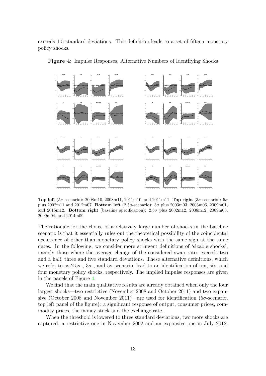exceeds 1.5 standard deviations. This definition leads to a set of fifteen monetary policy shocks.



<span id="page-15-0"></span>Figure 4: Impulse Responses, Alternative Numbers of Identifying Shocks

Top left (5 $\sigma$ -scenario): 2008m10, 2008m11, 2011m10, and 2011m11. Top right (3 $\sigma$ -scenario): 5 $\sigma$ plus 2002m11 and 2012m07. Bottom left (2.5σ-scenario): 3σ plus 2003m03, 2003m06, 2009m01, and 2015m12. Bottom right (baseline specification):  $2.5\sigma$  plus  $2002m12$ ,  $2008m12$ ,  $2009m03$ , 2009m04, and 2014m09.

The rationale for the choice of a relatively large number of shocks in the baseline scenario is that it essentially rules out the theoretical possibility of the coincidental occurrence of other than monetary policy shocks with the same sign at the same dates. In the following, we consider more stringent definitions of 'sizable shocks', namely those where the average change of the considered swap rates exceeds two and a half, three and five standard deviations. These alternative definitions, which we refer to as  $2.5\sigma$ -,  $3\sigma$ -, and  $5\sigma$ -scenario, lead to an identification of ten, six, and four monetary policy shocks, respectively. The implied impulse responses are given in the panels of Figure [4.](#page-15-0)

We find that the main qualitative results are already obtained when only the four largest shocks—two restrictive (November 2008 and October 2011) and two expansive (October 2008 and November 2011)—are used for identification (5 $\sigma$ -scenario, top left panel of the figure): a significant response of output, consumer prices, commodity prices, the money stock and the exchange rate.

When the threshold is lowered to three standard deviations, two more shocks are captured, a restrictive one in November 2002 and an expansive one in July 2012.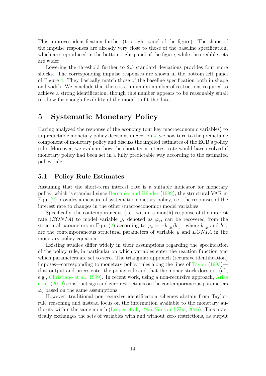This improves identification further (top right panel of the figure). The shape of the impulse responses are already very close to those of the baseline specification, which are reproduced in the bottom right panel of the figure, while the credible sets are wider.

Lowering the threshold further to 2.5 standard deviations provides four more shocks. The corresponding impulse responses are shown in the bottom left panel of Figure [4.](#page-15-0) They basically match those of the baseline specification both in shape and width. We conclude that there is a minimum number of restrictions required to achieve a strong identification, though this number appears to be reasonably small to allow for enough flexibility of the model to fit the data.

# <span id="page-16-0"></span>5 Systematic Monetary Policy

Having analyzed the response of the economy (our key macroeconomic variables) to unpredictable monetary policy decisions in Section [4,](#page-12-0) we now turn to the predictable component of monetary policy and discuss the implied estimates of the ECB's policy rule. Moreover, we evaluate how the short-term interest rate would have evolved if monetary policy had been set in a fully predictable way according to the estimated policy rule.

### 5.1 Policy Rule Estimates

Assuming that the short-term interest rate is a suitable indicator for monetary policy, which is standard since [Bernanke and Blinder](#page-31-5) [\(1992\)](#page-31-5), the structural VAR in Equ. [\(2\)](#page-11-0) provides a measure of systematic monetary policy, i.e., the responses of the interest rate to changes in the other (macroeconomic) model variables.

Specifically, the contemporaneous (i.e., within-a-month) response of the interest rate (EONIA) to model variable y, denoted as  $\varphi_y$ , can be recovered from the structural parameters in Equ. [\(2\)](#page-11-0) according to  $\varphi_y = -b_{1,y}/b_{1,1}$ , where  $b_{1,y}$  and  $b_{1,1}$ are the contemporaneous structural parameters of variable  $y$  and  $EONIA$  in the monetary policy equation.

Existing studies differ widely in their assumptions regarding the specification of the policy rule, in particular on which variables enter the reaction function and which parameters are set to zero. The triangular approach (recursive identification) imposes—corresponding to monetary policy rules along the lines of [Taylor](#page-34-8) [\(1993\)](#page-34-8) that output and prices enter the policy rule and that the money stock does not (cf., e.g., [Christiano et al.,](#page-31-6) [1999\)](#page-31-6). In recent work, using a non-recursive approach, [Arias](#page-31-7) [et al.](#page-31-7) [\(2019\)](#page-31-7) construct sign and zero restrictions on the contemporaneous parameters  $\varphi_y$  based on the same assumptions.

However, traditional non-recursive identification schemes abstain from Taylorrule reasoning and instead focus on the information available to the monetary authority within the same month [\(Leeper et al.,](#page-33-10) [1996;](#page-33-10) [Sims and Zha,](#page-34-9) [2006\)](#page-34-9). This practically exchanges the sets of variables with and without zero restrictions, as output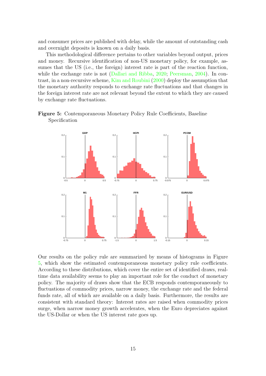and consumer prices are published with delay, while the amount of outstanding cash and overnight deposits is known on a daily basis.

This methodological difference pertains to other variables beyond output, prices and money. Recursive identification of non-US monetary policy, for example, assumes that the US (i.e., the foreign) interest rate is part of the reaction function, while the exchange rate is not [\(Dallari and Ribba,](#page-31-8) [2020;](#page-31-8) [Peersman,](#page-33-6) [2004\)](#page-33-6). In contrast, in a non-recursive scheme, [Kim and Roubini](#page-33-3) [\(2000\)](#page-33-3) deploy the assumption that the monetary authority responds to exchange rate fluctuations and that changes in the foreign interest rate are not relevant beyond the extent to which they are caused by exchange rate fluctuations.

<span id="page-17-0"></span>



Our results on the policy rule are summarized by means of histograms in Figure [5,](#page-17-0) which show the estimated contemporaneous monetary policy rule coefficients. According to these distributions, which cover the entire set of identified draws, realtime data availability seems to play an important role for the conduct of monetary policy. The majority of draws show that the ECB responds contemporaneously to fluctuations of commodity prices, narrow money, the exchange rate and the federal funds rate, all of which are available on a daily basis. Furthermore, the results are consistent with standard theory: Interest rates are raised when commodity prices surge, when narrow money growth accelerates, when the Euro depreciates against the US-Dollar or when the US interest rate goes up.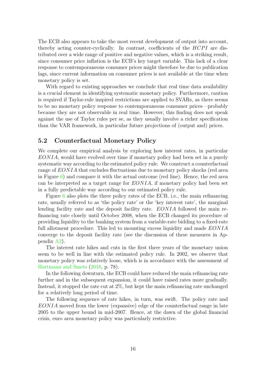The ECB also appears to take the most recent development of output into account, thereby acting counter-cyclically. In contrast, coefficients of the  $HCPI$  are distributed over a wide range of positive and negative values, which is a striking result, since consumer price inflation is the ECB's key target variable. This lack of a clear response to contemporaneous consumer prices might therefore be due to publication lags, since current information on consumer prices is not available at the time when monetary policy is set.

With regard to existing approaches we conclude that real time data availability is a crucial element in identifying systematic monetary policy. Furthermore, caution is required if Taylor-rule inspired restrictions are applied to SVARs, as there seems to be no monetary policy response to contemporaneous consumer prices—probably because they are not observable in real time. However, this finding does not speak against the use of Taylor rules per se, as they usually involve a richer specification than the VAR framework, in particular future projections of (output and) prices.

### 5.2 Counterfactual Monetary Policy

We complete our empirical analysis by exploring how interest rates, in particular EONIA, would have evolved over time if monetary policy had been set in a purely systematic way according to the estimated policy rule. We construct a counterfactual range of  $EONIA$  that excludes fluctuations due to monetary policy shocks (red area in Figure  $6$ ) and compare it with the actual outcome (red line). Hence, the red area can be interpreted as a target range for  $EONIA$ , if monetary policy had been set in a fully predictable way according to our estimated policy rule.

Figure [6](#page-19-0) also plots the three policy rates of the ECB, i.e., the main refinancing rate, usually referred to as 'the policy rate' or the 'key interest rate', the marginal lending facility rate and the deposit facility rate. EONIA followed the main refinancing rate closely until October 2008, when the ECB changed its procedure of providing liquidity to the banking system from a variable-rate bidding to a fixed-rate full allotment procedure. This led to mounting excess liquidity and made  $EONIA$ converge to the deposit facility rate (see the discussion of these measures in Appendix [A2\)](#page-22-0).

The interest rate hikes and cuts in the first three years of the monetary union seem to be well in line with the estimated policy rule. In 2002, we observe that monetary policy was relatively loose, which is in accordance with the assessment of [Hartmann and Smets](#page-33-7) [\(2018,](#page-33-7) p. 78).

In the following downturn, the ECB could have reduced the main refinancing rate further and in the subsequent expansion, it could have raised rates more gradually. Instead, it stopped the rate cut at 2%, but kept the main refinancing rate unchanged for a relatively long period of time.

The following sequence of rate hikes, in turn, was swift. The policy rate and EONIA moved from the lower (expansive) edge of the counterfactual range in late 2005 to the upper bound in mid-2007. Hence, at the dawn of the global financial crisis, euro area monetary policy was particularly restrictive.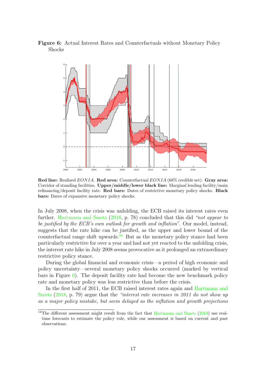<span id="page-19-0"></span>Figure 6: Actual Interest Rates and Counterfactuals without Monetary Policy Shocks



Red line: Realized EONIA. Red area: Counterfactual EONIA (68% credible set). Gray area: Corridor of standing facilities. Upper/middle/lower black line: Marginal lending facility/main refinancing/deposit facility rate. Red bars: Dates of restrictive monetary policy shocks. Black bars: Dates of expansive monetary policy shocks.

In July 2008, when the crisis was unfolding, the ECB raised its interest rates even further. [Hartmann and Smets](#page-33-7) [\(2018,](#page-33-7) p. 78) concluded that this did "not appear to be justified by the ECB's own outlook for growth and inflation". Our model, instead, suggests that the rate hike can be justified, as the upper and lower bound of the counterfactual range shift upwards.<sup>[14](#page-19-1)</sup> But as the monetary policy stance had been particularly restrictive for over a year and had not yet reacted to the unfolding crisis, the interest rate hike in July 2008 seems provocative as it prolonged an extraordinary restrictive policy stance.

During the global financial and economic crisis—a period of high economic and policy uncertainty—several monetary policy shocks occurred (marked by vertical bars in Figure [6\)](#page-19-0). The deposit facility rate had become the new benchmark policy rate and monetary policy was less restrictive than before the crisis.

In the first half of 2011, the ECB raised interest rates again and [Hartmann and](#page-33-7) [Smets](#page-33-7)  $(2018, p. 79)$  $(2018, p. 79)$  argue that the "interest rate increases in 2011 do not show up as a major policy mistake, but seem delayed as the inflation and growth projections

<span id="page-19-1"></span><sup>&</sup>lt;sup>14</sup>The different assessment might result from the fact that [Hartmann and Smets](#page-33-7)  $(2018)$  use realtime forecasts to estimate the policy rule, while our assessment is based on current and past observations.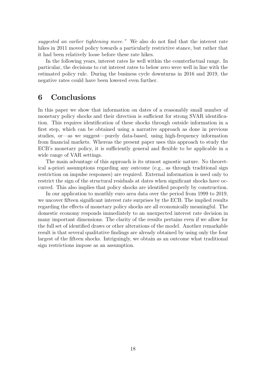suggested an earlier tightening move." We also do not find that the interest rate hikes in 2011 moved policy towards a particularly restrictive stance, but rather that it had been relatively loose before these rate hikes.

In the following years, interest rates lie well within the counterfactual range. In particular, the decisions to cut interest rates to below zero were well in line with the estimated policy rule. During the business cycle downturns in 2016 and 2019, the negative rates could have been lowered even further.

# <span id="page-20-0"></span>6 Conclusions

In this paper we show that information on dates of a reasonably small number of monetary policy shocks and their direction is sufficient for strong SVAR identification. This requires identification of these shocks through outside information in a first step, which can be obtained using a narrative approach as done in previous studies, or—as we suggest—purely data-based, using high-frequency information from financial markets. Whereas the present paper uses this approach to study the ECB's monetary policy, it is sufficiently general and flexible to be applicable in a wide range of VAR settings.

The main advantage of this approach is its utmost agnostic nature. No theoretical a-priori assumptions regarding any outcome (e.g., as through traditional sign restriction on impulse responses) are required. External information is used only to restrict the sign of the structural residuals at dates when significant shocks have occurred. This also implies that policy shocks are identified properly by construction.

In our application to monthly euro area data over the period from 1999 to 2019, we uncover fifteen significant interest rate surprises by the ECB. The implied results regarding the effects of monetary policy shocks are all economically meaningful. The domestic economy responds immediately to an unexpected interest rate decision in many important dimensions. The clarity of the results pertains even if we allow for the full set of identified draws or other alterations of the model. Another remarkable result is that several qualitative findings are already obtained by using only the four largest of the fifteen shocks. Intriguingly, we obtain as an outcome what traditional sign restrictions impose as an assumption.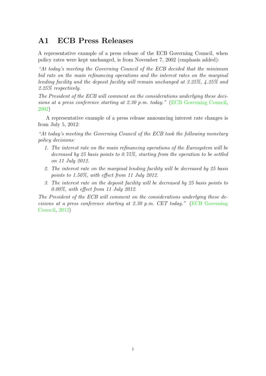# <span id="page-21-0"></span>A1 ECB Press Releases

A representative example of a press release of the ECB Governing Council, when policy rates were kept unchanged, is from November 7, 2002 (emphasis added):

"At today's meeting the Governing Council of the ECB decided that the minimum bid rate on the main refinancing operations and the interest rates on the marginal lending facility and the deposit facility will remain unchanged at 3.25%, 4.25% and 2.25% respectively.

The President of the ECB will comment on the considerations underlying these decisions at a press conference starting at 2.30 p.m. today." [\(ECB Governing Council,](#page-32-0) [2002\)](#page-32-0)

A representative example of a press release announcing interest rate changes is from July 5, 2012:

"At today's meeting the Governing Council of the ECB took the following monetary policy decisions:

- 1. The interest rate on the main refinancing operations of the Eurosystem will be decreased by 25 basis points to 0.75%, starting from the operation to be settled on 11 July 2012.
- 2. The interest rate on the marginal lending facility will be decreased by 25 basis points to 1.50%, with effect from 11 July 2012.
- 3. The interest rate on the deposit facility will be decreased by 25 basis points to 0.00%, with effect from 11 July 2012.

The President of the ECB will comment on the considerations underlying these decisions at a press conference starting at 2.30 p.m. CET today." [\(ECB Governing](#page-32-1) [Council,](#page-32-1) [2012\)](#page-32-1)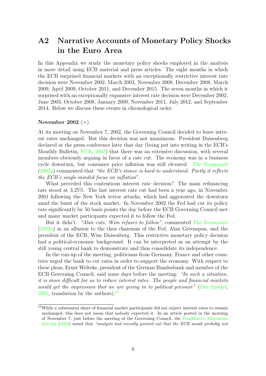# <span id="page-22-0"></span>A2 Narrative Accounts of Monetary Policy Shocks in the Euro Area

In this Appendix we study the monetary policy shocks employed in the analysis in more detail using ECB material and press articles. The eight months in which the ECB surprised financial markets with an exceptionally restrictive interest rate decision were November 2002, March 2003, November 2008, December 2008, March 2009, April 2009, October 2011, and December 2015. The seven months in which it surprised with an exceptionally expansive interest rate decision were December 2002, June 2003, October 2008, January 2009, November 2011, July 2012, and September 2014. Below we discuss these events in chronological order.

### November 2002 (+)

At its meeting on November 7, 2002, the Governing Council decided to leave interest rates unchanged. But this decision was not unanimous. President Duisenberg declared at the press conference later that day (being put into writing in the ECB's Monthly Bulletin, [ECB,](#page-31-9) [2002\)](#page-31-9) that there was an extensive discussion, with several members obviously arguing in favor of a rate cut. The economy was in a business cycle downturn, but consumer price inflation was still elevated. [The Economist](#page-34-10)  $(2002a)$  commented that "the ECB's stance is hard to understand. Partly it reflects the ECB's single-minded focus on inflation".

What preceded this contentious interest rate decision? The main refinancing rate stood at 3.25%. The last interest rate cut had been a year ago, in November 2001 following the New York terror attacks, which had aggravated the downturn amid the burst of the stock market. In November 2002 the Fed had cut its policy rate significantly by 50 basis points the day before the ECB Governing Council met and many market participants expected it to follow the Fed.

But it didn't. "Alan cuts, Wim refuses to follow", commented [The Economist](#page-34-10) [\(2002a\)](#page-34-10) in an allusion to the then chairman of the Fed, Alan Greenspan, and the president of the ECB, Wim Duisenberg. This restrictive monetary policy decision had a political-economic background. It can be interpreted as an attempt by the still young central bank to demonstrate and thus consolidate its independence.

In the run-up of the meeting, politicians from Germany, France and other countries urged the bank to cut rates in order to support the economy. With respect to these pleas, Ernst Welteke, president of the German Bundesbank and member of the ECB Governing Council, said some days before the meeting: "In such a situation, it is more difficult for us to reduce interest rates. The people and financial markets would get the impression that we are giving in to political pressure" [\(Der Spiegel,](#page-31-10)  $2002$ , translation by the authors).<sup>[15](#page-22-1)</sup>

<span id="page-22-1"></span><sup>15</sup>While a substantial share of financial market participants did not expect interest rates to remain unchanged, this does not mean that nobody expected it. In an article posted in the morning of November 7, just before the meeting of the Governing Council, the [Frankfurter Allgemeine](#page-33-11) [Zeitung](#page-33-11) [\(2002\)](#page-33-11) noted that "analysts had recently pointed out that the ECB would probably not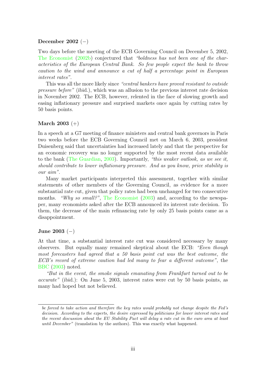### December 2002 (−)

Two days before the meeting of the ECB Governing Council on December 5, 2002, [The Economist](#page-34-11) [\(2002b\)](#page-34-11) conjectured that "boldness has not been one of the characteristics of the European Central Bank. So few people expect the bank to throw caution to the wind and announce a cut of half a percentage point in European interest rates".

This was all the more likely since "central bankers have proved resistant to outside pressure before" (ibid.), which was an allusion to the previous interest rate decision in November 2002. The ECB, however, relented in the face of slowing growth and easing inflationary pressure and surprised markets once again by cutting rates by 50 basis points.

### **March** 2003  $(+)$

In a speech at a G7 meeting of finance ministers and central bank governors in Paris two weeks before the ECB Governing Council met on March 6, 2003, president Duisenberg said that uncertainties had increased lately and that the perspective for an economic recovery was no longer supported by the most recent data available to the bank [\(The Guardian,](#page-34-12) [2003\)](#page-34-12). Importantly, "this weaker outlook, as we see it, should contribute to lower inflationary pressure. And as you know, price stability is our aim".

Many market participants interpreted this assessment, together with similar statements of other members of the Governing Council, as evidence for a more substantial rate cut, given that policy rates had been unchanged for two consecutive months. "Why so small?", [The Economist](#page-34-13) [\(2003\)](#page-34-13) and, according to the newspaper, many economists asked after the ECB announced its interest rate decision. To them, the decrease of the main refinancing rate by only 25 basis points came as a disappointment.

### June 2003  $(-)$

At that time, a substantial interest rate cut was considered necessary by many observers. But equally many remained skeptical about the ECB: "Even though most forecasters had agreed that a 50 basis point cut was the best outcome, the ECB's record of extreme caution had led many to fear a different outcome", the [BBC](#page-31-11) [\(2003\)](#page-31-11) noted.

"But in the event, the smoke signals emanating from Frankfurt turned out to be accurate" (ibid.): On June 5, 2003, interest rates were cut by 50 basis points, as many had hoped but not believed.

be forced to take action and therefore the key rates would probably not change despite the Fed's decision. According to the experts, the desire expressed by politicians for lower interest rates and the recent discussion about the EU Stability Pact will delay a rate cut in the euro area at least until December" (translation by the authors). This was exactly what happened.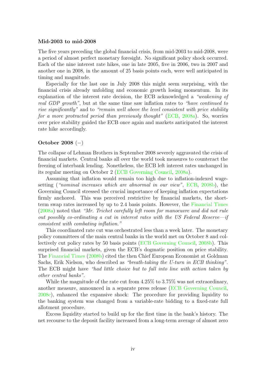### Mid-2003 to mid-2008

The five years preceding the global financial crisis, from mid-2003 to mid-2008, were a period of almost perfect monetary foresight. No significant policy shock occurred. Each of the nine interest rate hikes, one in late 2005, five in 2006, two in 2007 and another one in 2008, in the amount of 25 basis points each, were well anticipated in timing and magnitude.

Especially for the last one in July 2008 this might seem surprising, with the financial crisis already unfolding and economic growth losing momentum. In its explanation of the interest rate decision, the ECB acknowledged a "weakening of real GDP growth", but at the same time saw inflation rates to "have continued to rise significantly" and to "remain well above the level consistent with price stability for a more protracted period than previously thought" [\(ECB,](#page-31-12) [2008a\)](#page-31-12). So, worries over price stability guided the ECB once again and markets anticipated the interest rate hike accordingly.

### October 2008 (−)

The collapse of Lehman Brothers in September 2008 severely aggravated the crisis of financial markets. Central banks all over the world took measures to counteract the freezing of interbank lending. Nonetheless, the ECB left interest rates unchanged in its regular meeting on October 2 [\(ECB Governing Council,](#page-32-2) [2008a\)](#page-32-2).

Assuming that inflation would remain too high due to inflation-indexed wagesetting ("nominal increases which are abnormal in our view", [ECB,](#page-32-3) [2008b\)](#page-32-3), the Governing Council stressed the crucial importance of keeping inflation expectations firmly anchored. This was perceived restrictive by financial markets, the shortterm swap rates increased by up to 2.4 basis points. However, the [Financial Times](#page-32-4) [\(2008a\)](#page-32-4) noted that "Mr. Trichet carefully left room for manoeuvre and did not rule out possibly co-ordinating a cut in interest rates with the US Federal Reserve-if consistent with combating inflation."

This coordinated rate cut was orchestrated less than a week later. The monetary policy committees of the main central banks in the world met on October 8 and collectively cut policy rates by 50 basis points [\(ECB Governing Council,](#page-32-5) [2008b\)](#page-32-5). This surprised financial markets, given the ECB's dogmatic position on price stability. The [Financial Times](#page-32-6) [\(2008b\)](#page-32-6) cited the then Chief European Economist at Goldman Sachs, Erik Nielson, who described as "breath-taking the U-turn in ECB thinking". The ECB might have "had little choice but to fall into line with action taken by other central banks".

While the magnitude of the rate cut from 4.25% to 3.75% was not extraordinary, another measure, announced in a separate press release [\(ECB Governing Council,](#page-32-7) [2008c\)](#page-32-7), enhanced the expansive shock: The procedure for providing liquidity to the banking system was changed from a variable-rate bidding to a fixed-rate full allotment procedure.

Excess liquidity started to build up for the first time in the bank's history. The net recourse to the deposit facility increased from a long-term average of almost zero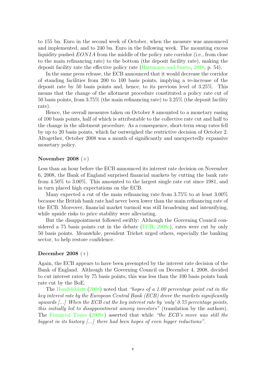to 155 bn. Euro in the second week of October, when the measure was announced and implemented, and to 240 bn. Euro in the following week. The mounting excess liquidity pushed EONIA from the middle of the policy rate corridor (i.e., from close to the main refinancing rate) to the bottom (the deposit facility rate), making the deposit facility rate the effective policy rate [\(Hartmann and Smets,](#page-33-7) [2018,](#page-33-7) p. 54).

In the same press release, the ECB announced that it would decrease the corridor of standing facilities from 200 to 100 basis points, implying a re-increase of the deposit rate by 50 basis points and, hence, to its previous level of 3.25%. This means that the change of the allotment procedure constituted a policy rate cut of 50 basis points, from 3.75% (the main refinancing rate) to 3.25% (the deposit facility rate).

Hence, the overall measures taken on October 8 amounted to a monetary easing of 100 basis points, half of which is attributable to the collective rate cut and half to the change in the allotment procedure. As a consequence, short-term swap rates fell by up to 20 basis points, which far outweighed the restrictive decision of October 2. Altogether, October 2008 was a month of significantly and unexpectedly expansive monetary policy.

### November 2008 (+)

Less than an hour before the ECB announced its interest rate decision on November 6, 2008, the Bank of England surprised financial markets by cutting the bank rate from 4.50% to 3.00%. This amounted to the largest single rate cut since 1981, and in turn placed high expectations on the ECB.

Many expected a cut of the main refinancing rate from 3.75% to at least 3.00% because the British bank rate had never been lower than the main refinancing rate of the ECB. Moreover, financial market turmoil was still broadening and intensifying, while upside risks to price stability were alleviating.

But the disappointment followed swiftly: Although the Governing Council considered a 75 basis points cut in the debate [\(ECB,](#page-32-8) [2008c\)](#page-32-8), rates were cut by only 50 basis points. Meanwhile, president Trichet urged others, especially the banking sector, to help restore confidence.

### December 2008 (+)

Again, the ECB appears to have been preempted by the interest rate decision of the Bank of England. Although the Governing Council on December 4, 2008, decided to cut interest rates by 75 basis points, this was less than the 100 basis points bank rate cut by the BoE.

The [Handelsblatt](#page-33-12) [\(2008\)](#page-33-12) noted that "hopes of a 1.00 percentage point cut in the key interest rate by the European Central Bank (ECB) drove the markets significantly upwards  $\left[\ldots\right]$  When the ECB cut the key interest rate by 'only' 0.75 percentage points, this initially led to disappointment among investors" (translation by the authors). The [Financial Times](#page-32-9) [\(2008c\)](#page-32-9) asserted that while "the ECB's move was still the biggest in its history [...] there had been hopes of even bigger reductions".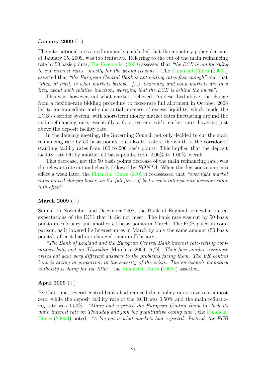### January 2009  $(-)$

The international press predominantly concluded that the monetary policy decision of January 15, 2009, was too tentative. Referring to the cut of the main refinancing rate by 50 basis points, [The Economist](#page-34-14) [\(2009\)](#page-34-14) assessed that "the ECB is not hurrying to cut interest rates—mostly for the wrong reasons". The [Financial Times](#page-32-10) [\(2009a\)](#page-32-10) asserted that "the European Central Bank is not cutting rates fast enough" and that "that, at least, is what markets believe. [...] Currency and bond markets are in a tizzy about such relative inaction, worrying that the ECB is behind the curve".

This was, however, not what markets believed. As described above, the change from a flexible-rate bidding procedure to fixed-rate full allotment in October 2008 led to an immediate and substantial increase of excess liquidity, which made the ECB's corridor system, with short-term money market rates fluctuating around the main refinancing rate, essentially a floor system, with market rates hovering just above the deposit facility rate.

In the January meeting, the Governing Council not only decided to cut the main refinancing rate by 50 basis points, but also to restore the width of the corridor of standing facility rates from 100 to 200 basis points. This implied that the deposit facility rate fell by another 50 basis points, from 2.00% to 1.00% overall.

This decrease, not the 50 basis points decrease of the main refinancing rate, was the relevant rate cut and closely followed by  $EONIA$ . When the decisions came into effect a week later, the [Financial Times](#page-32-11) [\(2009b\)](#page-32-11) re-assessed that "overnight market rates moved sharply lower, as the full force of last week's interest rate decision came into effect".

### March 2009 (+)

Similar to November and December 2008, the Bank of England somewhat raised expectations of the ECB that it did not meet. The bank rate was cut by 50 basis points in February and another 50 basis points in March. The ECB paled in comparison, as it lowered its interest rates in March by only the same amount (50 basis points), after it had not changed them in February.

"The Bank of England and the European Central Bank interest rate-setting committees both met on Thursday [March 5, 2009, A/N]. They face similar economic crises but gave very different answers to the problems facing them. The UK central bank is acting in proportion to the severity of the crisis. The eurozone's monetary authority is doing far too little", the [Financial Times](#page-32-12) [\(2009c\)](#page-32-12) asserted.

### April 2009 (+)

By that time, several central banks had reduced their policy rates to zero or almost zero, while the deposit facility rate of the ECB was 0.50% and the main refinancing rate was 1.50%. "Many had expected the European Central Bank to slash its main interest rate on Thursday and join the quantitative easing club", the [Financial](#page-32-13) [Times](#page-32-13) [\(2009d\)](#page-32-13) noted. "A big cut is what markets had expected. Instead, the ECB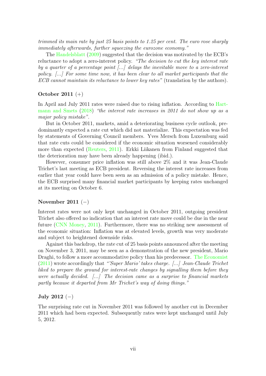trimmed its main rate by just 25 basis points to 1.25 per cent. The euro rose sharply immediately afterwards, further squeezing the eurozone economy."

The [Handelsblatt](#page-33-13) [\(2009\)](#page-33-13) suggested that the decision was motivated by the ECB's reluctance to adopt a zero-interest policy. "The decision to cut the key interest rate by a quarter of a percentage point  $[\dots]$  delays the inevitable move to a zero-interest policy.  $[\ldots]$  For some time now, it has been clear to all market participants that the ECB cannot maintain its reluctance to lower key rates" (translation by the authors).

### October 2011 (+)

In April and July 2011 rates were raised due to rising inflation. According to [Hart](#page-33-7)[mann and Smets](#page-33-7) [\(2018\)](#page-33-7) "the interest rate increases in 2011 do not show up as a major policy mistake".

But in October 2011, markets, amid a deteriorating business cycle outlook, predominantly expected a rate cut which did not materialize. This expectation was fed by statements of Governing Council members. Yves Mersch from Luxemburg said that rate cuts could be considered if the economic situation worsened considerably more than expected [\(Reuters,](#page-33-14) [2011\)](#page-33-14). Erkki Liikanen from Finland suggested that the deterioration may have been already happening (ibid.).

However, consumer price inflation was still above 2% and it was Jean-Claude Trichet's last meeting as ECB president. Reversing the interest rate increases from earlier that year could have been seen as an admission of a policy mistake. Hence, the ECB surprised many financial market participants by keeping rates unchanged at its meeting on October 6.

### November 2011  $(-)$

Interest rates were not only kept unchanged in October 2011, outgoing president Trichet also offered no indication that an interest rate move could be due in the near future [\(CNN Money,](#page-31-13) [2011\)](#page-31-13). Furthermore, there was no striking new assessment of the economic situation: Inflation was at elevated levels, growth was very moderate and subject to heightened downside risks.

Against this backdrop, the rate cut of 25 basis points announced after the meeting on November 3, 2011, may be seen as a demonstration of the new president, Mario Draghi, to follow a more accommodative policy than his predecessor. [The Economist](#page-34-15) [\(2011\)](#page-34-15) wrote accordingly that "'Super Mario' takes charge. [...] Jean-Claude Trichet liked to prepare the ground for interest-rate changes by signalling them before they were actually decided.  $\langle ... \rangle$  The decision came as a surprise to financial markets partly because it departed from Mr Trichet's way of doing things."

### July 2012  $(-)$

The surprising rate cut in November 2011 was followed by another cut in December 2011 which had been expected. Subsequently rates were kept unchanged until July 5, 2012.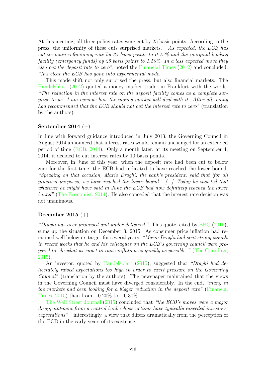At this meeting, all three policy rates were cut by 25 basis points. According to the press, the uniformity of these cuts surprised markets. "As expected, the ECB has cut its main refinancing rate by 25 basis points to 0.75% and the marginal lending facility (emergency funds) by 25 basis points to 1.50%. In a less expected move they also cut the deposit rate to zero", noted the [Financial Times](#page-32-14) [\(2012\)](#page-32-14) and concluded: "It's clear the ECB has gone into experimental mode."

This mode shift not only surprised the press, but also financial markets. The [Handelsblatt](#page-33-15) [\(2012\)](#page-33-15) quoted a money market trader in Frankfurt with the words: "The reduction in the interest rate on the deposit facility comes as a complete surprise to us. I am curious how the money market will deal with it. After all, many had recommended that the ECB should not cut the interest rate to zero" (translation by the authors).

### September 2014  $(-)$

In line with forward guidance introduced in July 2013, the Governing Council in August 2014 announced that interest rates would remain unchanged for an extended period of time [\(ECB,](#page-32-15) [2014\)](#page-32-15). Only a month later, at its meeting on September 4, 2014, it decided to cut interest rates by 10 basis points.

Moreover, in June of this year, when the deposit rate had been cut to below zero for the first time, the ECB had indicated to have reached the lower bound. "Speaking on that occasion, Mario Draghi, the bank's president, said that 'for all practical purposes, we have reached the lower bound.'  $[\ldots]$  Today he insisted that whatever he might have said in June the ECB had now definitely reached the lower bound" [\(The Economist,](#page-34-16) [2014\)](#page-34-16). He also conceded that the interest rate decision was not unanimous.

### December 2015 (+)

"Draghi has over promised and under delivered." This quote, cited by  $BBC(2015)$  $BBC(2015)$ , sums up the situation on December 3, 2015. As consumer price inflation had remained well below its target for several years, "Mario Draghi had sent strong signals in recent weeks that he and his colleagues on the ECB's governing council were prepared to 'do what we must to raise inflation as quickly as possible' " [\(The Guardian,](#page-35-1) [2015\)](#page-35-1).

An investor, quoted by [Handelsblatt](#page-33-16) [\(2015\)](#page-33-16), suggested that "Draghi had deliberately raised expectations too high in order to exert pressure on the Governing Council" (translation by the authors). The newspaper maintained that the views in the Governing Council must have diverged considerably. In the end, "many in the markets had been looking for a bigger reduction in the deposit rate" [\(Financial](#page-32-16) [Times,](#page-32-16) [2015\)](#page-32-16) than from  $-0.20\%$  to  $-0.30\%$ .

[The Wall Street Journal](#page-35-2) [\(2015\)](#page-35-2) concluded that "the ECB's moves were a major disappointment from a central bank whose actions have typically exceeded investors' expectations"—interestingly, a view that differs dramatically from the perception of the ECB in the early years of its existence.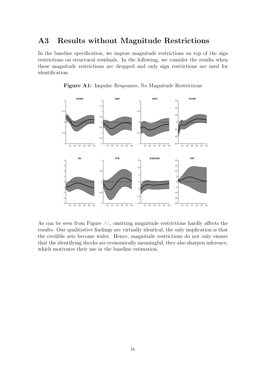# <span id="page-29-0"></span>A3 Results without Magnitude Restrictions

In the baseline specification, we impose magnitude restrictions on top of the sign restrictions on structural residuals. In the following, we consider the results when these magnitude restrictions are dropped and only sign restrictions are used for identification.

<span id="page-29-1"></span>

Figure A1: Impulse Responses, No Magnitude Restrictions

As can be seen from Figure [A1,](#page-29-1) omitting magnitude restrictions hardly affects the results. Our qualitiative findings are virtually identical, the only implication is that the credible sets become wider. Hence, magnitude restrictions do not only ensure that the identifying shocks are economically meaningful, they also sharpen inference, which motivates their use in the baseline estimation.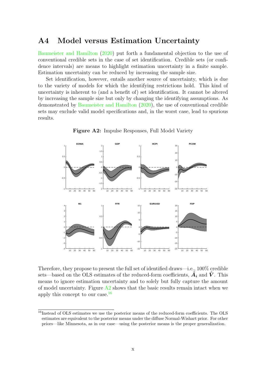### <span id="page-30-0"></span>A4 Model versus Estimation Uncertainty

[Baumeister and Hamilton](#page-31-15) [\(2020\)](#page-31-15) put forth a fundamental objection to the use of conventional credible sets in the case of set identification. Credible sets (or confidence intervals) are means to highlight estimation uncertainty in a finite sample. Estimation uncertainty can be reduced by increasing the sample size.

Set identification, however, entails another source of uncertainty, which is due to the variety of models for which the identifying restrictions hold. This kind of uncertainty is inherent to (and a benefit of) set identification. It cannot be altered by increasing the sample size but only by changing the identifying assumptions. As demonstrated by [Baumeister and Hamilton](#page-31-15) [\(2020\)](#page-31-15), the use of conventional credible sets may exclude valid model specifications and, in the worst case, lead to spurious results.

<span id="page-30-1"></span>

Figure A2: Impulse Responses, Full Model Variety

Therefore, they propose to present the full set of identified draws—i.e., 100% credible sets—based on the OLS estimates of the reduced-form coefficients,  $\hat{A}_i$  and  $\hat{V}$ . This means to ignore estimation uncertainty and to solely but fully capture the amount of model uncertainty. Figure  $A2$  shows that the basic results remain intact when we apply this concept to our case. $16$ 

<span id="page-30-2"></span><sup>&</sup>lt;sup>16</sup>Instead of OLS estimates we use the posterior means of the reduced-form coefficients. The OLS estimates are equivalent to the posterior means under the diffuse Normal-Wishart prior. For other priors—like Minnesota, as in our case—using the posterior means is the proper generalization.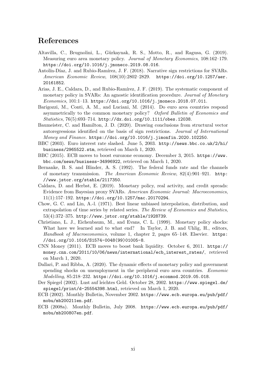# References

- <span id="page-31-1"></span>Altavilla, C., Brugnolini, L., Gürkaynak, R. S., Motto, R., and Ragusa, G. (2019). Measuring euro area monetary policy. *Journal of Monetary Economics*, 108:162–179. <https://doi.org/10.1016/j.jmoneco.2019.08.016>.
- <span id="page-31-0"></span>Antolín-Díaz, J. and Rubio-Ramírez, J. F. (2018). Narrative sign restrictions for SVARs. American Economic Review, 108(10):2802–2829. [https://doi.org/10.1257/aer.](https://doi.org/10.1257/aer.20161852) [20161852](https://doi.org/10.1257/aer.20161852).
- <span id="page-31-7"></span>Arias, J. E., Caldara, D., and Rubio-Ramírez, J. F. (2019). The systematic component of monetary policy in SVARs: An agnostic identification procedure. Journal of Monetary  $Economics, 101:1-13.$  <https://doi.org/10.1016/j.jmoneco.2018.07.011>.
- <span id="page-31-3"></span>Barigozzi, M., Conti, A. M., and Luciani, M. (2014). Do euro area countries respond asymmetrically to the common monetary policy? Oxford Bulletin of Economics and Statistics, 76(5):693–714. <http://dx.doi.org/10.1111/obes.12038>.
- <span id="page-31-15"></span>Baumeister, C. and Hamilton, J. D. (2020). Drawing conclusions from structural vector autoregressions identified on the basis of sign restrictions. Journal of International Money and Finance. <https://doi.org/10.1016/j.jimonfin.2020.102250>.
- <span id="page-31-11"></span>BBC (2003). Euro interest rate slashed. June 5, 2003. [http://news.bbc.co.uk/2/hi/](http://news.bbc.co.uk/2/hi/business/2965522.stm) [business/2965522.stm](http://news.bbc.co.uk/2/hi/business/2965522.stm), retrieved on March 1, 2020.
- <span id="page-31-14"></span>BBC (2015). ECB moves to boost eurozone economy. December 3, 2015. [https://www.](https://www.bbc.com/news/business-34996922) [bbc.com/news/business-34996922](https://www.bbc.com/news/business-34996922), retrieved on March 1, 2020.
- <span id="page-31-5"></span>Bernanke, B. S. and Blinder, A. S. (1992). The federal funds rate and the channels of monetary transmission. The American Economic Review, 82(4):901–921. [http:](http://www.jstor.org/stable/2117350) [//www.jstor.org/stable/2117350](http://www.jstor.org/stable/2117350).
- <span id="page-31-2"></span>Caldara, D. and Herbst, E. (2019). Monetary policy, real activity, and credit spreads: Evidence from Bayesian proxy SVARs. American Economic Journal: Macroeconomics, 11(1):157–192. <https://doi.org/10.1257/mac.20170294>.
- <span id="page-31-4"></span>Chow, G. C. and Lin, A.-l. (1971). Best linear unbiased interpolation, distribution, and extrapolation of time series by related series. The Review of Economics and Statistics, 53(4):372–375. <http://www.jstor.org/stable/1928739>.
- <span id="page-31-6"></span>Christiano, L. J., Eichenbaum, M., and Evans, C. L. (1999). Monetary policy shocks: What have we learned and to what end? In Taylor, J. B. and Uhlig, H., editors, Handbook of Macroeconomics, volume 1, chapter 2, pages 65–148. Elsevier. [https:](https://doi.org/10.1016/S1574-0048(99)01005-8) [//doi.org/10.1016/S1574-0048\(99\)01005-8](https://doi.org/10.1016/S1574-0048(99)01005-8).
- <span id="page-31-13"></span>CNN Money (2011). ECB moves to boost bank liquidity. October 6, 2011. [https://](https://money.cnn.com/2011/10/06/news/international/ecb_interest_rates/) [money.cnn.com/2011/10/06/news/international/ecb\\_interest\\_rates/](https://money.cnn.com/2011/10/06/news/international/ecb_interest_rates/), retrieved on March 1, 2020.
- <span id="page-31-8"></span>Dallari, P. and Ribba, A. (2020). The dynamic effects of monetary policy and government spending shocks on unemployment in the peripheral euro area countries. Economic Modelling, 85:218–232. <https://doi.org/10.1016/j.econmod.2019.05.018>.
- <span id="page-31-10"></span>Der Spiegel (2002). Lust auf leichtes Geld. October 28, 2002. [https://www.spiegel.de/](https://www.spiegel.de/spiegel/print/d-25554398.html) [spiegel/print/d-25554398.html](https://www.spiegel.de/spiegel/print/d-25554398.html), retrieved on March 1, 2020.
- <span id="page-31-9"></span>ECB (2002). Monthly Bulletin, November 2002. [https://www.ecb.europa.eu/pub/pdf/](https://www.ecb.europa.eu/pub/pdf/mobu/mb200211en.pdf) [mobu/mb200211en.pdf](https://www.ecb.europa.eu/pub/pdf/mobu/mb200211en.pdf).
- <span id="page-31-12"></span>ECB (2008a). Monthly Bulletin, July 2008. [https://www.ecb.europa.eu/pub/pdf/](https://www.ecb.europa.eu/pub/pdf/mobu/mb200807en.pdf) [mobu/mb200807en.pdf](https://www.ecb.europa.eu/pub/pdf/mobu/mb200807en.pdf).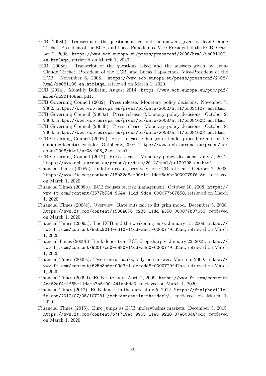- <span id="page-32-3"></span>ECB (2008b). Transcript of the questions asked and the answers given by Jean-Claude Trichet, President of the ECB, and Lucas Papademos, Vice-President of the ECB. October 2, 2008. [https://www.ecb.europa.eu/press/pressconf/2008/html/is081002.](https://www.ecb.europa.eu/press/pressconf/2008/html/is081002.en.html#qa) [en.html#qa](https://www.ecb.europa.eu/press/pressconf/2008/html/is081002.en.html#qa), retrieved on March 1, 2020.
- <span id="page-32-8"></span>ECB (2008c). Transcript of the questions asked and the answers given by Jean-Claude Trichet, President of the ECB, and Lucas Papademos, Vice-President of the ECB. November 6, 2008. [https://www.ecb.europa.eu/press/pressconf/2008/](https://www.ecb.europa.eu/press/pressconf/2008/html/is081106.en.html#qa) [html/is081106.en.html#qa](https://www.ecb.europa.eu/press/pressconf/2008/html/is081106.en.html#qa), retrieved on March 1, 2020.
- <span id="page-32-15"></span>ECB (2014). Monthly Bulletin, August 2014. [https://www.ecb.europa.eu/pub/pdf/](https://www.ecb.europa.eu/pub/pdf/mobu/mb201408en.pdf) [mobu/mb201408en.pdf](https://www.ecb.europa.eu/pub/pdf/mobu/mb201408en.pdf).
- <span id="page-32-0"></span>ECB Governing Council (2002). Press release: Monetary policy decisions. November 7, 2002. <https://www.ecb.europa.eu/press/pr/date/2002/html/pr021107.en.html>.
- <span id="page-32-2"></span>ECB Governing Council (2008a). Press release: Monetary policy decisions. October 2, 2008. <https://www.ecb.europa.eu/press/pr/date/2008/html/pr081002.en.html>.
- <span id="page-32-5"></span>ECB Governing Council (2008b). Press release: Monetary policy decisions. October 8, 2008. <https://www.ecb.europa.eu/press/pr/date/2008/html/pr081008.en.html>.
- <span id="page-32-7"></span>ECB Governing Council (2008c). Press release: Changes in tender procedure and in the standing facilities corridor. October 8, 2008. [https://www.ecb.europa.eu/press/pr/](https://www.ecb.europa.eu/press/pr/date/2008/html/pr081008_2.en.html) [date/2008/html/pr081008\\_2.en.html](https://www.ecb.europa.eu/press/pr/date/2008/html/pr081008_2.en.html).
- <span id="page-32-1"></span>ECB Governing Council (2012). Press release: Monetary policy decisions. July 5, 2012. <https://www.ecb.europa.eu/press/pr/date/2012/html/pr120705.en.html>.
- <span id="page-32-4"></span>Financial Times (2008a). Inflation easing sees way for ECB rate cut. October 2, 2008. <https://www.ft.com/content/f8b32a8e-90c1-11dd-8abb-0000779fd18c>, retrieved on March 1, 2020.
- <span id="page-32-6"></span>Financial Times (2008b). ECB focuses on risk management. October 10, 2008. [https://](https://www.ft.com/content/3577b534-964e-11dd-9dce-000077b07658) [www.ft.com/content/3577b534-964e-11dd-9dce-000077b07658](https://www.ft.com/content/3577b534-964e-11dd-9dce-000077b07658), retrieved on March 1, 2020.
- <span id="page-32-9"></span>Financial Times (2008c). Overview: Rate cuts fail to lift grim mood. December 5, 2008. <https://www.ft.com/content/1536a876-c235-11dd-a350-000077b07658>, retrieved on March 1, 2020.
- <span id="page-32-10"></span>Financial Times (2009a). The ECB and the weakening euro. January 15, 2009. [https://](https://www.ft.com/content/8a6c9014-e310-11dd-a5cf-0000779fd2ac) [www.ft.com/content/8a6c9014-e310-11dd-a5cf-0000779fd2ac](https://www.ft.com/content/8a6c9014-e310-11dd-a5cf-0000779fd2ac), retrieved on March 1, 2020.
- <span id="page-32-11"></span>Financial Times (2009b). Bank deposits at ECB drop sharply. January 22, 2009. [https://](https://www.ft.com/content/920f7cd0-e880-11dd-a4d0-0000779fd2ac) [www.ft.com/content/920f7cd0-e880-11dd-a4d0-0000779fd2ac](https://www.ft.com/content/920f7cd0-e880-11dd-a4d0-0000779fd2ac), retrieved on March 1, 2020.
- <span id="page-32-12"></span>Financial Times (2009c). Two central banks, only one answer. March 5, 2009. [https://](https://www.ft.com/content/625b8a6e-09d3-11de-add8-0000779fd2ac) [www.ft.com/content/625b8a6e-09d3-11de-add8-0000779fd2ac](https://www.ft.com/content/625b8a6e-09d3-11de-add8-0000779fd2ac), retrieved on March 1, 2020.
- <span id="page-32-13"></span>Financial Times (2009d). ECB rate cuts. April 2, 2009. [https://www.ft.com/content/](https://www.ft.com/content/4ed62ef4-1f8b-11de-a7a5-00144feabdc0) [4ed62ef4-1f8b-11de-a7a5-00144feabdc0](https://www.ft.com/content/4ed62ef4-1f8b-11de-a7a5-00144feabdc0), retrieved on March 1, 2020.
- <span id="page-32-14"></span>Financial Times (2012). ECB dances in the dark. July 5, 2012. [https://ftalphaville.](https://ftalphaville.ft.com/2012/07/05/1072811/ecb-dances-in-the-dark/) [ft.com/2012/07/05/1072811/ecb-dances-in-the-dark/](https://ftalphaville.ft.com/2012/07/05/1072811/ecb-dances-in-the-dark/), retrieved on March 1, 2020.
- <span id="page-32-16"></span>Financial Times (2015). Euro jumps as ECB underwhelms markets. December 3, 2015. <https://www.ft.com/content/b7f719ec-9965-11e5-9228-87e603d47bdc>, retrieved on March 1, 2020.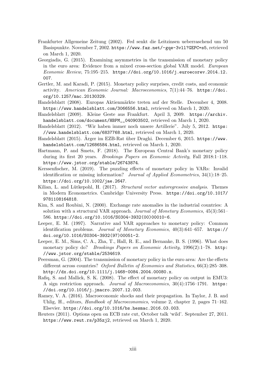- <span id="page-33-11"></span>Frankfurter Allgemeine Zeitung (2002). Fed senkt die Leitzinsen ueberraschend um 50 Basispunkte. November 7, 2002. <https://www.faz.net/-gqe-3vll?GEPC=s5>, retrieved on March 1, 2020.
- <span id="page-33-4"></span>Georgiadis, G. (2015). Examining asymmetries in the transmission of monetary policy in the euro area: Evidence from a mixed cross-section global VAR model. European Economic Review, 75:195–215. [https://doi.org/10.1016/j.euroecorev.2014.12.](https://doi.org/10.1016/j.euroecorev.2014.12.007) [007](https://doi.org/10.1016/j.euroecorev.2014.12.007).
- <span id="page-33-0"></span>Gertler, M. and Karadi, P. (2015). Monetary policy surprises, credit costs, and economic activity. American Economic Journal: Macroeconomics, 7(1):44–76. [https://doi.](https://doi.org/10.1257/mac.20130329) [org/10.1257/mac.20130329](https://doi.org/10.1257/mac.20130329).
- <span id="page-33-12"></span>Handelsblatt (2008). Europas Aktienmärkte treten auf der Stelle. December 4, 2008. <https://www.handelsblatt.com/3066556.html>, retrieved on March 1, 2020.
- <span id="page-33-13"></span>Handelsblatt (2009). Kleine Geste aus Frankfurt. April 3, 2009. [https://archiv.](https://archiv.handelsblatt.com/document/HBPM__040903502) [handelsblatt.com/document/HBPM\\_\\_040903502](https://archiv.handelsblatt.com/document/HBPM__040903502), retrieved on March 1, 2020.
- <span id="page-33-15"></span>Handelsblatt (2012). "Wir haben immer noch unsere Artillerie". July 5, 2012. [https:](https://www.handelsblatt.com/6837768.html) [//www.handelsblatt.com/6837768.html](https://www.handelsblatt.com/6837768.html), retrieved on March 1, 2020.
- <span id="page-33-16"></span>Handelsblatt (2015). Arger im EZB-Rat über Draghi. December 6, 2015. [https://www.](https://www.handelsblatt.com/12686584.html) [handelsblatt.com/12686584.html](https://www.handelsblatt.com/12686584.html), retrieved on March 1, 2020.
- <span id="page-33-7"></span>Hartmann, P. and Smets, F. (2018). The European Central Bank's monetary policy during its first 20 years. Brookings Papers on Economic Activity, Fall 2018:1–118. <https://www.jstor.org/stable/26743874>.
- <span id="page-33-9"></span>Kerssenfischer, M. (2019). The puzzling effects of monetary policy in VARs: Invalid identification or missing information? Journal of Applied Econometrics, 34(1):18–25. <https://doi.org/10.1002/jae.2647>.
- <span id="page-33-8"></span>Kilian, L. and Lütkepohl, H. (2017). Structural vector autoregressive analysis. Themes in Modern Econometrics. Cambridge University Press. [https://doi.org/10.1017/](https://doi.org/10.1017/9781108164818) [9781108164818](https://doi.org/10.1017/9781108164818).
- <span id="page-33-3"></span>Kim, S. and Roubini, N. (2000). Exchange rate anomalies in the industrial countries: A solution with a structural VAR approach. Journal of Monetary Economics, 45(3):561– 586. [https://doi.org/10.1016/S0304-3932\(00\)00010-6](https://doi.org/10.1016/S0304-3932(00)00010-6).
- <span id="page-33-2"></span>Leeper, E. M. (1997). Narrative and VAR approaches to monetary policy: Common identification problems. Journal of Monetary Economics, 40(3):641–657. [https://](https://doi.org/10.1016/S0304-3932(97)00051-2) [doi.org/10.1016/S0304-3932\(97\)00051-2](https://doi.org/10.1016/S0304-3932(97)00051-2).
- <span id="page-33-10"></span>Leeper, E. M., Sims, C. A., Zha, T., Hall, R. E., and Bernanke, B. S. (1996). What does monetary policy do? Brookings Papers on Economic Activity, 1996(2):1-78. [http:](http://www.jstor.org/stable/2534619) [//www.jstor.org/stable/2534619](http://www.jstor.org/stable/2534619).
- <span id="page-33-6"></span>Peersman, G. (2004). The transmission of monetary policy in the euro area: Are the effects different across countries? Oxford Bulletin of Economics and Statistics, 66(3):285–308. <http://dx.doi.org/10.1111/j.1468-0084.2004.00080.x>.
- <span id="page-33-5"></span>Rafiq, S. and Mallick, S. K. (2008). The effect of monetary policy on output in EMU3: A sign restriction approach. Journal of Macroeconomics, 30(4):1756–1791. [https:](https://doi.org/10.1016/j.jmacro.2007.12.003) [//doi.org/10.1016/j.jmacro.2007.12.003](https://doi.org/10.1016/j.jmacro.2007.12.003).
- <span id="page-33-1"></span>Ramey, V. A. (2016). Macroeconomic shocks and their propagation. In Taylor, J. B. and Uhlig, H., editors, Handbook of Macroeconomics, volume 2, chapter 2, pages 71–162. Elsevier. <https://doi.org/10.1016/bs.hesmac.2016.03.003>.
- <span id="page-33-14"></span>Reuters (2011). Options open on ECB rate cut, October talk 'wild'. September 27, 2011. <https://www.reut.rs/p35zj2>, retrieved on March 1, 2020.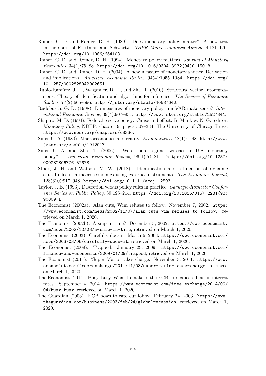- <span id="page-34-1"></span>Romer, C. D. and Romer, D. H. (1989). Does monetary policy matter? A new test in the spirit of Friedman and Schwartz. NBER Macroeconomics Annual, 4:121–170. <https://doi.org/10.1086/654103>.
- <span id="page-34-4"></span>Romer, C. D. and Romer, D. H. (1994). Monetary policy matters. Journal of Monetary  $Economics, 34(1):75–88. \text{ https://doi.org/10.1016/0304-3932(94)01150-8.}$  $Economics, 34(1):75–88. \text{ https://doi.org/10.1016/0304-3932(94)01150-8.}$  $Economics, 34(1):75–88. \text{ https://doi.org/10.1016/0304-3932(94)01150-8.}$
- <span id="page-34-6"></span>Romer, C. D. and Romer, D. H. (2004). A new measure of monetary shocks: Derivation and implications. American Economic Review, 94(4):1055–1084. [https://doi.org/](https://doi.org/10.1257/0002828042002651) [10.1257/0002828042002651](https://doi.org/10.1257/0002828042002651).
- <span id="page-34-7"></span>Rubio-Ramírez, J. F., Waggoner, D. F., and Zha, T. (2010). Structural vector autoregressions: Theory of identification and algorithms for inference. The Review of Economic Studies, 77(2):665–696. <http://jstor.org/stable/40587642>.
- <span id="page-34-3"></span>Rudebusch, G. D. (1998). Do measures of monetary policy in a VAR make sense? International Economic Review, 39(4):907–931. <http://www.jstor.org/stable/2527344>.
- <span id="page-34-5"></span>Shapiro, M. D. (1994). Federal reserve policy: Cause and effect. In Mankiw, N. G., editor, Monetary Policy, NBER, chapter 9, pages 307–334. The University of Chicago Press. <https://www.nber.org/chapters/c8336>.
- <span id="page-34-0"></span>Sims, C. A. (1980). Macroeconomics and reality. Econometrica, 48(1):1–48. [http://www.](http://www.jstor.org/stable/1912017) [jstor.org/stable/1912017](http://www.jstor.org/stable/1912017).
- <span id="page-34-9"></span>Sims, C. A. and Zha, T. (2006). Were there regime switches in U.S. monetary policy? American Economic Review, 96(1):54–81. [https://doi.org/10.1257/](https://doi.org/10.1257/000282806776157678) [000282806776157678](https://doi.org/10.1257/000282806776157678).
- <span id="page-34-2"></span>Stock, J. H. and Watson, M. W. (2018). Identification and estimation of dynamic causal effects in macroeconomics using external instruments. The Economic Journal, 128(610):917–948. <https://doi.org/10.1111/ecoj.12593>.
- <span id="page-34-8"></span>Taylor, J. B. (1993). Discretion versus policy rules in practice. Carnegie-Rochester Conference Series on Public Policy, 39:195–214. [https://doi.org/10.1016/0167-2231\(93\)](https://doi.org/10.1016/0167-2231(93)90009-L) [90009-L](https://doi.org/10.1016/0167-2231(93)90009-L).
- <span id="page-34-10"></span>The Economist (2002a). Alan cuts, Wim refuses to follow. November 7, 2002. [https:](https://www.economist.com/news/2002/11/07/alan-cuts-wim-refuses-to-follow) [//www.economist.com/news/2002/11/07/alan-cuts-wim-refuses-to-follow](https://www.economist.com/news/2002/11/07/alan-cuts-wim-refuses-to-follow), retrieved on March 1, 2020.
- <span id="page-34-11"></span>The Economist (2002b). A snip in time? December 3, 2002. [https://www.economist.](https://www.economist.com/news/2002/12/03/a-snip-in-time) [com/news/2002/12/03/a-snip-in-time](https://www.economist.com/news/2002/12/03/a-snip-in-time), retrieved on March 1, 2020.
- <span id="page-34-13"></span>The Economist (2003). Carefully does it. March 6, 2003. [https://www.economist.com/](https://www.economist.com/news/2003/03/06/carefully-does-it) [news/2003/03/06/carefully-does-it](https://www.economist.com/news/2003/03/06/carefully-does-it), retrieved on March 1, 2020.
- <span id="page-34-14"></span>The Economist (2009). Trapped. January 29, 2009. [https://www.economist.com/](https://www.economist.com/finance-and-economics/2009/01/29/trapped) [finance-and-economics/2009/01/29/trapped](https://www.economist.com/finance-and-economics/2009/01/29/trapped), retrieved on March 1, 2020.
- <span id="page-34-15"></span>The Economist (2011). 'Super Mario' takes charge. November 3, 2011. [https://www.](https://www.economist.com/free-exchange/2011/11/03/super-mario-takes-charge) [economist.com/free-exchange/2011/11/03/super-mario-takes-charge](https://www.economist.com/free-exchange/2011/11/03/super-mario-takes-charge), retrieved on March 1, 2020.
- <span id="page-34-16"></span>The Economist (2014). Busy, busy. What to make of the ECB's unexpected cut in interest rates. September 4, 2014. [https://www.economist.com/free-exchange/2014/09/](https://www.economist.com/free-exchange/2014/09/04/busy-busy) [04/busy-busy](https://www.economist.com/free-exchange/2014/09/04/busy-busy), retrieved on March 1, 2020.
- <span id="page-34-12"></span>The Guardian (2003). ECB bows to rate cut lobby. February 24, 2003. [https://www.](https://www.theguardian.com/business/2003/feb/24/globalrecession) [theguardian.com/business/2003/feb/24/globalrecession](https://www.theguardian.com/business/2003/feb/24/globalrecession), retrieved on March 1, 2020.